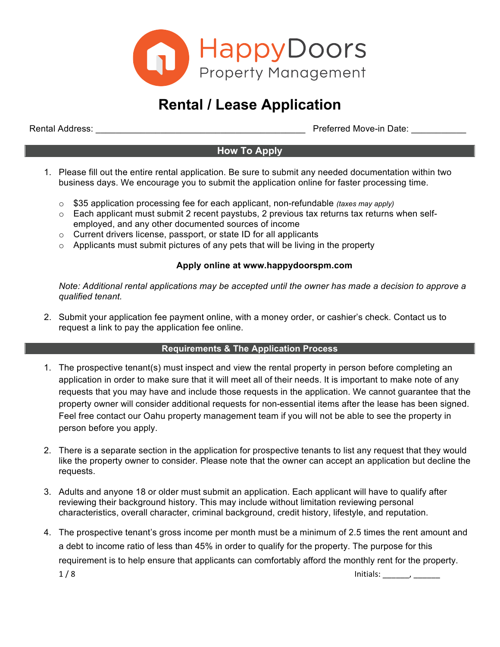

# **Rental / Lease Application**

Rental Address: \_\_\_\_\_\_\_\_\_\_\_\_\_\_\_\_\_\_\_\_\_\_\_\_\_\_\_\_\_\_\_\_\_\_\_\_\_\_\_\_\_\_ Preferred Move-in Date: \_\_\_\_\_\_\_\_\_\_\_

# **How To Apply**

- 1. Please fill out the entire rental application. Be sure to submit any needed documentation within two business days. We encourage you to submit the application online for faster processing time.
	- o \$35 application processing fee for each applicant, non-refundable *(taxes may apply)*
	- $\circ$  Each applicant must submit 2 recent paystubs, 2 previous tax returns tax returns when selfemployed, and any other documented sources of income
	- o Current drivers license, passport, or state ID for all applicants
	- $\circ$  Applicants must submit pictures of any pets that will be living in the property

#### **Apply online at www.happydoorspm.com**

*Note: Additional rental applications may be accepted until the owner has made a decision to approve a qualified tenant.*

2. Submit your application fee payment online, with a money order, or cashier's check. Contact us to request a link to pay the application fee online.

#### **Requirements & The Application Process**

- 1. The prospective tenant(s) must inspect and view the rental property in person before completing an application in order to make sure that it will meet all of their needs. It is important to make note of any requests that you may have and include those requests in the application. We cannot guarantee that the property owner will consider additional requests for non-essential items after the lease has been signed. Feel free contact our Oahu property management team if you will not be able to see the property in person before you apply.
- 2. There is a separate section in the application for prospective tenants to list any request that they would like the property owner to consider. Please note that the owner can accept an application but decline the requests.
- 3. Adults and anyone 18 or older must submit an application. Each applicant will have to qualify after reviewing their background history. This may include without limitation reviewing personal characteristics, overall character, criminal background, credit history, lifestyle, and reputation.
- 4. The prospective tenant's gross income per month must be a minimum of 2.5 times the rent amount and a debt to income ratio of less than 45% in order to qualify for the property. The purpose for this requirement is to help ensure that applicants can comfortably afford the monthly rent for the property.  $1/8$  Initials: \_\_\_\_\_, \_\_\_\_\_\_\_\_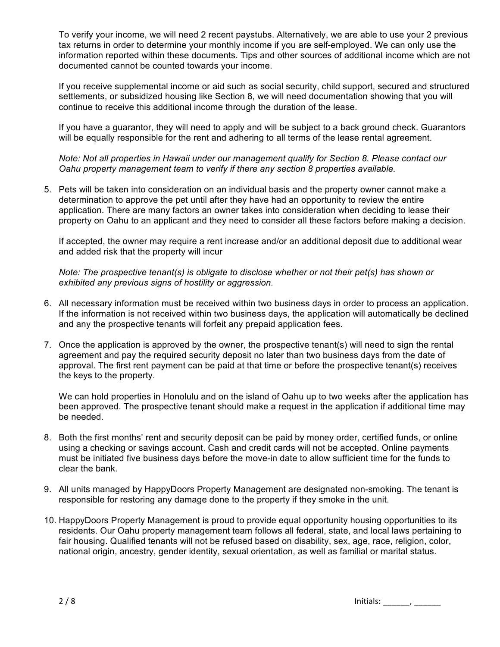To verify your income, we will need 2 recent paystubs. Alternatively, we are able to use your 2 previous tax returns in order to determine your monthly income if you are self-employed. We can only use the information reported within these documents. Tips and other sources of additional income which are not documented cannot be counted towards your income.

If you receive supplemental income or aid such as social security, child support, secured and structured settlements, or subsidized housing like Section 8, we will need documentation showing that you will continue to receive this additional income through the duration of the lease.

If you have a guarantor, they will need to apply and will be subject to a back ground check. Guarantors will be equally responsible for the rent and adhering to all terms of the lease rental agreement.

*Note: Not all properties in Hawaii under our management qualify for Section 8. Please contact our Oahu property management team to verify if there any section 8 properties available.*

5. Pets will be taken into consideration on an individual basis and the property owner cannot make a determination to approve the pet until after they have had an opportunity to review the entire application. There are many factors an owner takes into consideration when deciding to lease their property on Oahu to an applicant and they need to consider all these factors before making a decision.

If accepted, the owner may require a rent increase and/or an additional deposit due to additional wear and added risk that the property will incur

*Note: The prospective tenant(s) is obligate to disclose whether or not their pet(s) has shown or exhibited any previous signs of hostility or aggression.* 

- 6. All necessary information must be received within two business days in order to process an application. If the information is not received within two business days, the application will automatically be declined and any the prospective tenants will forfeit any prepaid application fees.
- 7. Once the application is approved by the owner, the prospective tenant(s) will need to sign the rental agreement and pay the required security deposit no later than two business days from the date of approval. The first rent payment can be paid at that time or before the prospective tenant(s) receives the keys to the property.

We can hold properties in Honolulu and on the island of Oahu up to two weeks after the application has been approved. The prospective tenant should make a request in the application if additional time may be needed.

- 8. Both the first months' rent and security deposit can be paid by money order, certified funds, or online using a checking or savings account. Cash and credit cards will not be accepted. Online payments must be initiated five business days before the move-in date to allow sufficient time for the funds to clear the bank.
- 9. All units managed by HappyDoors Property Management are designated non-smoking. The tenant is responsible for restoring any damage done to the property if they smoke in the unit.
- 10. HappyDoors Property Management is proud to provide equal opportunity housing opportunities to its residents. Our Oahu property management team follows all federal, state, and local laws pertaining to fair housing. Qualified tenants will not be refused based on disability, sex, age, race, religion, color, national origin, ancestry, gender identity, sexual orientation, as well as familial or marital status.

 $2 / 8$  Initials: \_\_\_\_\_, \_\_\_\_\_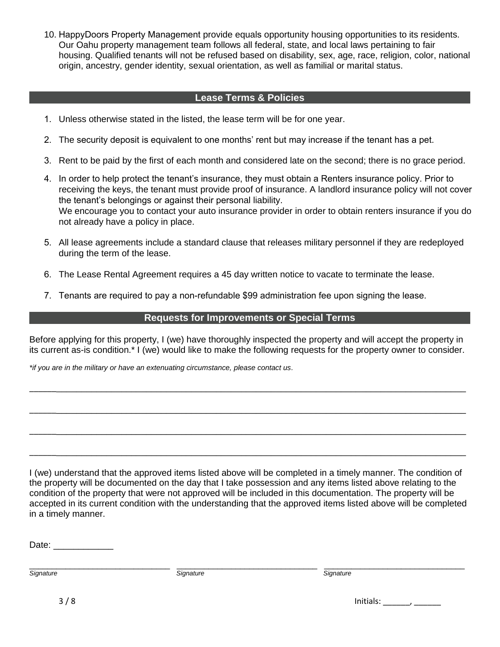10. HappyDoors Property Management provide equals opportunity housing opportunities to its residents. Our Oahu property management team follows all federal, state, and local laws pertaining to fair housing. Qualified tenants will not be refused based on disability, sex, age, race, religion, color, national origin, ancestry, gender identity, sexual orientation, as well as familial or marital status.

### **Lease Terms & Policies**

- 1. Unless otherwise stated in the listed, the lease term will be for one year.
- 2. The security deposit is equivalent to one months' rent but may increase if the tenant has a pet.
- 3. Rent to be paid by the first of each month and considered late on the second; there is no grace period.
- 4. In order to help protect the tenant's insurance, they must obtain a Renters insurance policy. Prior to receiving the keys, the tenant must provide proof of insurance. A landlord insurance policy will not cover the tenant's belongings or against their personal liability. We encourage you to contact your auto insurance provider in order to obtain renters insurance if you do not already have a policy in place.
- 5. All lease agreements include a standard clause that releases military personnel if they are redeployed during the term of the lease.
- 6. The Lease Rental Agreement requires a 45 day written notice to vacate to terminate the lease.
- 7. Tenants are required to pay a non-refundable \$99 administration fee upon signing the lease.

# **Requests for Improvements or Special Terms**

Before applying for this property, I (we) have thoroughly inspected the property and will accept the property in its current as-is condition.\* I (we) would like to make the following requests for the property owner to consider.

\_\_\_\_\_\_\_\_\_\_\_\_\_\_\_\_\_\_\_\_\_\_\_\_\_\_\_\_\_\_\_\_\_\_\_\_\_\_\_\_\_\_\_\_\_\_\_\_\_\_\_\_\_\_\_\_\_\_\_\_\_\_\_\_\_\_\_\_\_\_\_\_\_\_\_\_\_\_\_\_\_\_\_\_\_\_\_\_

\_\_\_\_\_\_\_\_\_\_\_\_\_\_\_\_\_\_\_\_\_\_\_\_\_\_\_\_\_\_\_\_\_\_\_\_\_\_\_\_\_\_\_\_\_\_\_\_\_\_\_\_\_\_\_\_\_\_\_\_\_\_\_\_\_\_\_\_\_\_\_\_\_\_\_\_\_\_\_\_\_\_\_\_\_\_\_\_

\_\_\_\_\_\_\_\_\_\_\_\_\_\_\_\_\_\_\_\_\_\_\_\_\_\_\_\_\_\_\_\_\_\_\_\_\_\_\_\_\_\_\_\_\_\_\_\_\_\_\_\_\_\_\_\_\_\_\_\_\_\_\_\_\_\_\_\_\_\_\_\_\_\_\_\_\_\_\_\_\_\_\_\_\_\_\_\_

\_\_\_\_\_\_\_\_\_\_\_\_\_\_\_\_\_\_\_\_\_\_\_\_\_\_\_\_\_\_\_\_\_\_\_\_\_\_\_\_\_\_\_\_\_\_\_\_\_\_\_\_\_\_\_\_\_\_\_\_\_\_\_\_\_\_\_\_\_\_\_\_\_\_\_\_\_\_\_\_\_\_\_\_\_\_\_\_

*\*if you are in the military or have an extenuating circumstance, please contact us.*

I (we) understand that the approved items listed above will be completed in a timely manner. The condition of the property will be documented on the day that I take possession and any items listed above relating to the condition of the property that were not approved will be included in this documentation. The property will be accepted in its current condition with the understanding that the approved items listed above will be completed in a timely manner.

Date: \_\_\_\_\_\_\_\_\_\_\_\_\_\_

\_\_\_\_\_\_\_\_\_\_\_\_\_\_\_\_\_\_\_\_\_\_\_\_\_\_\_\_\_\_\_ \_\_\_\_\_\_\_\_\_\_\_\_\_\_\_\_\_\_\_\_\_\_\_\_\_\_\_\_\_\_\_ \_\_\_\_\_\_\_\_\_\_\_\_\_\_\_\_\_\_\_\_\_\_\_\_\_\_\_\_\_\_\_

*Signature Signature Signature* 

3 / 8 Initials: \_\_\_\_\_\_, \_\_\_\_\_\_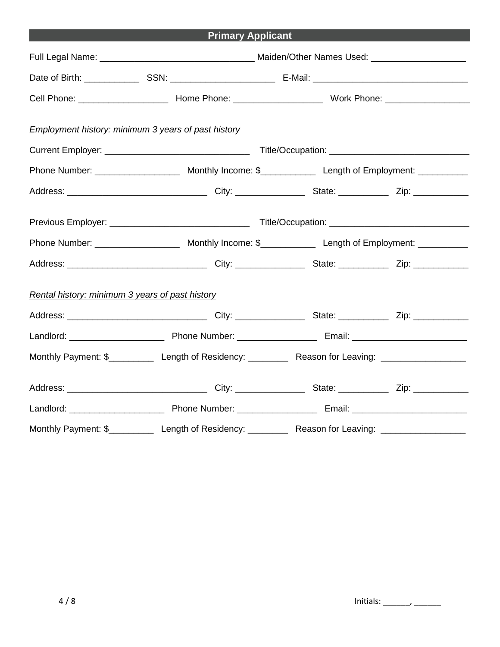|                                                            | <b>Primary Applicant</b>                                                                                       |  |
|------------------------------------------------------------|----------------------------------------------------------------------------------------------------------------|--|
|                                                            |                                                                                                                |  |
|                                                            |                                                                                                                |  |
|                                                            |                                                                                                                |  |
| <b>Employment history: minimum 3 years of past history</b> |                                                                                                                |  |
|                                                            |                                                                                                                |  |
|                                                            |                                                                                                                |  |
|                                                            |                                                                                                                |  |
|                                                            |                                                                                                                |  |
|                                                            |                                                                                                                |  |
|                                                            |                                                                                                                |  |
| Rental history: minimum 3 years of past history            |                                                                                                                |  |
|                                                            |                                                                                                                |  |
|                                                            |                                                                                                                |  |
|                                                            | Monthly Payment: \$______________ Length of Residency: ______________ Reason for Leaving: ____________________ |  |
|                                                            |                                                                                                                |  |
|                                                            |                                                                                                                |  |
|                                                            | Monthly Payment: \$_____________ Length of Residency: _____________ Reason for Leaving: ___________________    |  |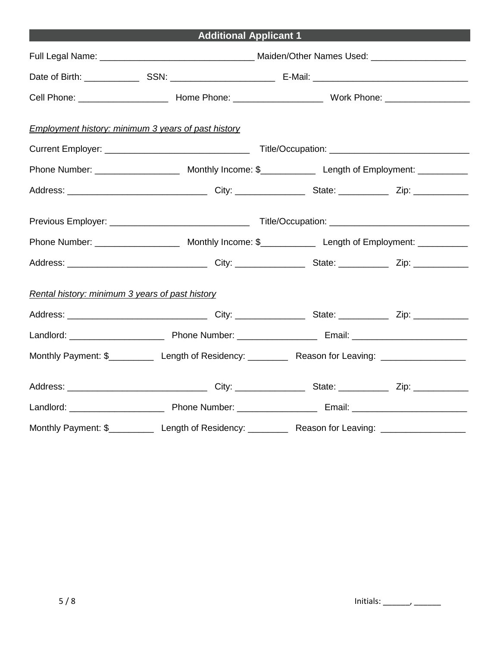|--|

| <b>Employment history: minimum 3 years of past history</b> |                                                                                                             |  |  |  |
|------------------------------------------------------------|-------------------------------------------------------------------------------------------------------------|--|--|--|
|                                                            |                                                                                                             |  |  |  |
|                                                            |                                                                                                             |  |  |  |
|                                                            |                                                                                                             |  |  |  |
|                                                            |                                                                                                             |  |  |  |
|                                                            |                                                                                                             |  |  |  |
|                                                            |                                                                                                             |  |  |  |
| Rental history: minimum 3 years of past history            |                                                                                                             |  |  |  |
|                                                            |                                                                                                             |  |  |  |
|                                                            |                                                                                                             |  |  |  |
|                                                            | Monthly Payment: \$_____________ Length of Residency: ____________ Reason for Leaving: ____________________ |  |  |  |
|                                                            |                                                                                                             |  |  |  |
|                                                            |                                                                                                             |  |  |  |
|                                                            | Monthly Payment: \$_____________ Length of Residency: ___________ Reason for Leaving: ____________________  |  |  |  |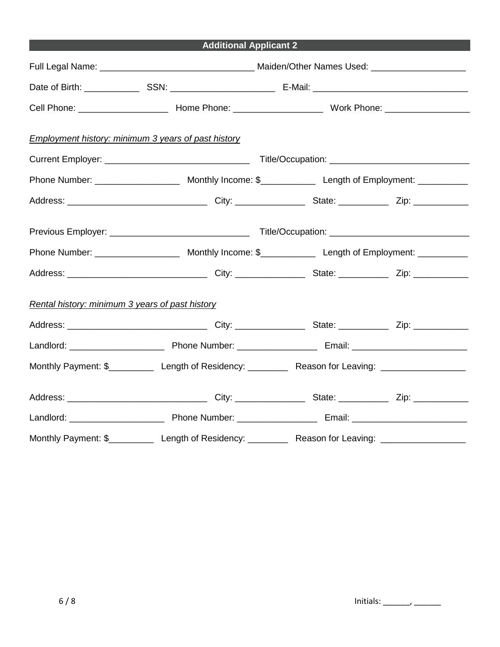| <b>Additional Applicant 2</b> |  |
|-------------------------------|--|
|                               |  |

| <b>Employment history: minimum 3 years of past history</b> |                                                                                                             |  |  |  |
|------------------------------------------------------------|-------------------------------------------------------------------------------------------------------------|--|--|--|
|                                                            |                                                                                                             |  |  |  |
|                                                            |                                                                                                             |  |  |  |
|                                                            |                                                                                                             |  |  |  |
|                                                            |                                                                                                             |  |  |  |
|                                                            |                                                                                                             |  |  |  |
|                                                            |                                                                                                             |  |  |  |
| Rental history: minimum 3 years of past history            |                                                                                                             |  |  |  |
|                                                            |                                                                                                             |  |  |  |
|                                                            |                                                                                                             |  |  |  |
|                                                            | Monthly Payment: \$_____________ Length of Residency: ____________ Reason for Leaving: ____________________ |  |  |  |
|                                                            |                                                                                                             |  |  |  |
|                                                            |                                                                                                             |  |  |  |
|                                                            | Monthly Payment: \$_____________ Length of Residency: ____________ Reason for Leaving: ____________________ |  |  |  |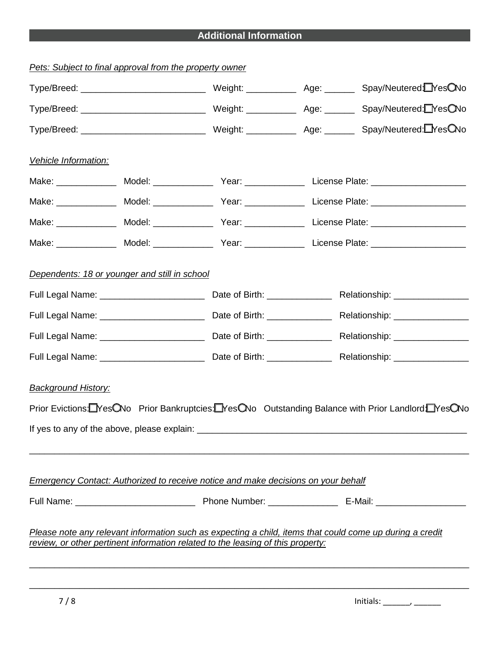# **Additional Information**

| Pets: Subject to final approval from the property owner |  |                                                                                                                                                                                             |                                                                                                          |
|---------------------------------------------------------|--|---------------------------------------------------------------------------------------------------------------------------------------------------------------------------------------------|----------------------------------------------------------------------------------------------------------|
|                                                         |  |                                                                                                                                                                                             |                                                                                                          |
|                                                         |  |                                                                                                                                                                                             |                                                                                                          |
|                                                         |  |                                                                                                                                                                                             |                                                                                                          |
| Vehicle Information:                                    |  |                                                                                                                                                                                             |                                                                                                          |
|                                                         |  |                                                                                                                                                                                             |                                                                                                          |
|                                                         |  |                                                                                                                                                                                             |                                                                                                          |
|                                                         |  |                                                                                                                                                                                             |                                                                                                          |
|                                                         |  |                                                                                                                                                                                             |                                                                                                          |
| Dependents: 18 or younger and still in school           |  |                                                                                                                                                                                             |                                                                                                          |
|                                                         |  |                                                                                                                                                                                             |                                                                                                          |
|                                                         |  |                                                                                                                                                                                             |                                                                                                          |
|                                                         |  |                                                                                                                                                                                             |                                                                                                          |
|                                                         |  |                                                                                                                                                                                             |                                                                                                          |
| <b>Background History:</b>                              |  |                                                                                                                                                                                             | Prior Evictions: LYes CNo Prior Bankruptcies: LYes CNo Outstanding Balance with Prior Landlord: LYes CNo |
|                                                         |  |                                                                                                                                                                                             |                                                                                                          |
|                                                         |  | Emergency Contact: Authorized to receive notice and make decisions on your behalf                                                                                                           |                                                                                                          |
|                                                         |  |                                                                                                                                                                                             |                                                                                                          |
|                                                         |  | Please note any relevant information such as expecting a child, items that could come up during a credit<br>review, or other pertinent information related to the leasing of this property: |                                                                                                          |
|                                                         |  |                                                                                                                                                                                             |                                                                                                          |

\_\_\_\_\_\_\_\_\_\_\_\_\_\_\_\_\_\_\_\_\_\_\_\_\_\_\_\_\_\_\_\_\_\_\_\_\_\_\_\_\_\_\_\_\_\_\_\_\_\_\_\_\_\_\_\_\_\_\_\_\_\_\_\_\_\_\_\_\_\_\_\_\_\_\_\_\_\_\_\_\_\_\_\_\_\_\_\_